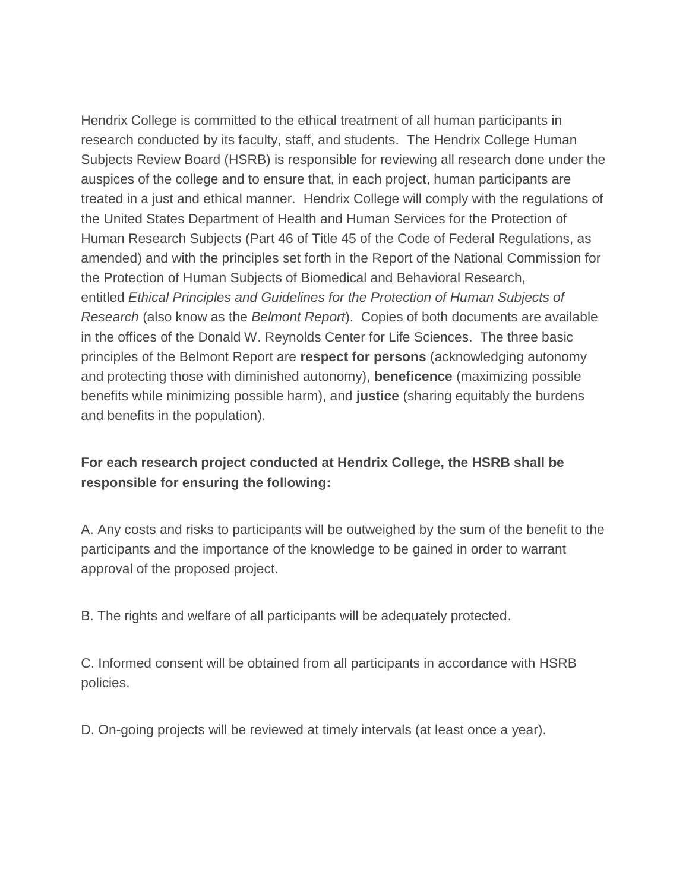Hendrix College is committed to the ethical treatment of all human participants in research conducted by its faculty, staff, and students. The Hendrix College Human Subjects Review Board (HSRB) is responsible for reviewing all research done under the auspices of the college and to ensure that, in each project, human participants are treated in a just and ethical manner. Hendrix College will comply with the regulations of the United States Department of Health and Human Services for the Protection of Human Research Subjects (Part 46 of Title 45 of the Code of Federal Regulations, as amended) and with the principles set forth in the Report of the National Commission for the Protection of Human Subjects of Biomedical and Behavioral Research, entitled *Ethical Principles and Guidelines for the Protection of Human Subjects of Research* (also know as the *Belmont Report*). Copies of both documents are available in the offices of the Donald W. Reynolds Center for Life Sciences. The three basic principles of the Belmont Report are **respect for persons** (acknowledging autonomy and protecting those with diminished autonomy), **beneficence** (maximizing possible benefits while minimizing possible harm), and **justice** (sharing equitably the burdens and benefits in the population).

## **For each research project conducted at Hendrix College, the HSRB shall be responsible for ensuring the following:**

A. Any costs and risks to participants will be outweighed by the sum of the benefit to the participants and the importance of the knowledge to be gained in order to warrant approval of the proposed project.

B. The rights and welfare of all participants will be adequately protected.

C. Informed consent will be obtained from all participants in accordance with HSRB policies.

D. On-going projects will be reviewed at timely intervals (at least once a year).